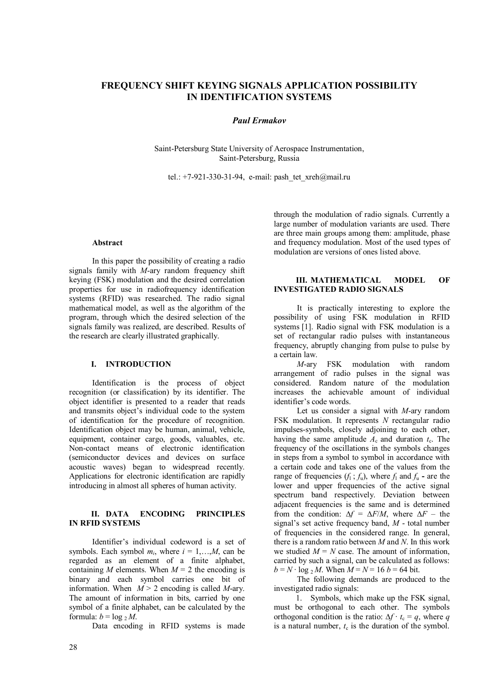# **FREQUENCY SHIFT KEYING SIGNALS APPLICATION POSSIBILITY IN IDENTIFICATION SYSTEMS**

## *Paul Ermakov*

Saint-Petersburg State University of Aerospace Instrumentation, Saint-Petersburg, Russia

tel.: +7-921-330-31-94, e-mail: pash tet xreh@mail.ru

#### **Abstract**

In this paper the possibility of creating a radio signals family with *M*-ary random frequency shift keying (FSK) modulation and the desired correlation properties for use in radiofrequency identification systems (RFID) was researched. The radio signal mathematical model, as well as the algorithm of the program, through which the desired selection of the signals family was realized, are described. Results of the research are clearly illustrated graphically.

# **I. INTRODUCTION**

Identification is the process of object recognition (or classification) by its identifier. The object identifier is presented to a reader that reads and transmits object's individual code to the system of identification for the procedure of recognition. Identification object may be human, animal, vehicle, equipment, container cargo, goods, valuables, etc. Non-contact means of electronic identification (semiconductor devices and devices on surface acoustic waves) began to widespread recently. Applications for electronic identification are rapidly introducing in almost all spheres of human activity.

## **II. DATA ENCODING PRINCIPLES IN RFID SYSTEMS**

Identifier's individual codeword is a set of symbols. Each symbol  $m_i$ , where  $i = 1,...,M$ , can be regarded as an element of a finite alphabet, containing *M* elements. When  $M = 2$  the encoding is binary and each symbol carries one bit of information. When  $M > 2$  encoding is called *M*-ary. The amount of information in bits, carried by one symbol of a finite alphabet, can be calculated by the formula:  $b = \log_2 M$ .

Data encoding in RFID systems is made

through the modulation of radio signals. Currently a large number of modulation variants are used. There are three main groups among them: amplitude, phase and frequency modulation. Most of the used types of modulation are versions of ones listed above.

## **III. MATHEMATICAL MODEL OF INVESTIGATED RADIO SIGNALS**

It is practically interesting to explore the possibility of using FSK modulation in RFID systems [1]. Radio signal with FSK modulation is a set of rectangular radio pulses with instantaneous frequency, abruptly changing from pulse to pulse by a certain law.

*M*-ary FSK modulation with random arrangement of radio pulses in the signal was considered. Random nature of the modulation increases the achievable amount of individual identifier's code words.

Let us consider a signal with *M*-ary random FSK modulation. It represents *N* rectangular radio impulses-symbols, closely adjoining to each other, having the same amplitude  $A_c$  and duration  $t_c$ . The frequency of the oscillations in the symbols changes in steps from a symbol to symbol in accordance with a certain code and takes one of the values from the range of frequencies  $(f_1; f_u)$ , where  $f_1$  and  $f_u$  - are the lower and upper frequencies of the active signal spectrum band respectively. Deviation between adjacent frequencies is the same and is determined from the condition:  $\Delta f = \Delta F/M$ , where  $\Delta F$  – the signal's set active frequency band, *M* - total number of frequencies in the considered range. In general, there is a random ratio between *M* and *N*. In this work we studied  $M = N$  case. The amount of information, carried by such a signal, can be calculated as follows: *b* =  $N \cdot \log_2 M$ . When  $M = N = 16$  *b* = 64 bit.

The following demands are produced to the investigated radio signals:

1. Symbols, which make up the FSK signal, must be orthogonal to each other. The symbols orthogonal condition is the ratio:  $\Delta f \cdot t_c = q$ , where *q* is a natural number,  $t_c$  is the duration of the symbol.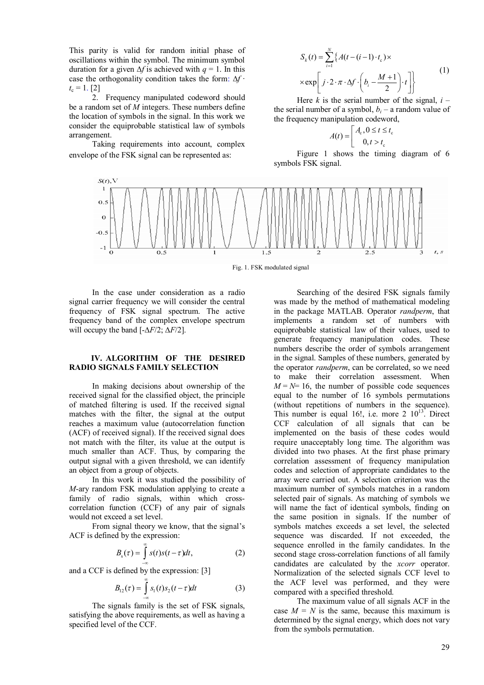This parity is valid for random initial phase of oscillations within the symbol. The minimum symbol duration for a given ∆*f* is achieved with *q* = 1. In this case the orthogonality condition takes the form: ∆*f* ∙  $t_c = 1$ . [2]

2. Frequency manipulated codeword should be a random set of *M* integers. These numbers define the location of symbols in the signal. In this work we consider the equiprobable statistical law of symbols arrangement.

Taking requirements into account, complex envelope of the FSK signal can be represented as:

$$
S_k(t) = \sum_{i=1}^{N} \left\{ A(t - (i-1) \cdot t_c) \times \times \exp\left[ j \cdot 2 \cdot \pi \cdot \Delta f \cdot \left( b_i - \frac{M+1}{2} \right) \cdot t \right] \right\}
$$
 (1)

Here  $k$  is the serial number of the signal,  $i$ the serial number of a symbol,  $b_i$  – a random value of the frequency manipulation codeword,

$$
A(t) = \begin{bmatrix} A_c, 0 \le t \le t_c \\ 0, t > t_c \end{bmatrix}
$$

Figure 1 shows the timing diagram of 6 symbols FSK signal.



Fig. 1. FSK modulated signal

In the case under consideration as a radio signal carrier frequency we will consider the central frequency of FSK signal spectrum. The active frequency band of the complex envelope spectrum will occupy the band [-∆*F*/2; ∆*F*/2].

#### **IV. ALGORITHM OF THE DESIRED RADIO SIGNALS FAMILY SELECTION**

In making decisions about ownership of the received signal for the classified object, the principle of matched filtering is used. If the received signal matches with the filter, the signal at the output reaches a maximum value (autocorrelation function (ACF) of received signal). If the received signal does not match with the filter, its value at the output is much smaller than ACF. Thus, by comparing the output signal with a given threshold, we can identify an object from a group of objects.

In this work it was studied the possibility of *M*-ary random FSK modulation applying to create a family of radio signals, within which crosscorrelation function (CCF) of any pair of signals would not exceed a set level.

From signal theory we know, that the signal's ACF is defined by the expression:

$$
B_{s}(\tau) = \int_{-\infty}^{\infty} s(t)s(t-\tau)dt, \qquad (2)
$$

and a CCF is defined by the expression: [3]

$$
B_{12}(\tau) = \int_{-\infty}^{\infty} s_1(t) s_2(t-\tau) dt
$$
 (3)

The signals family is the set of FSK signals, satisfying the above requirements, as well as having a specified level of the CCF.

Searching of the desired FSK signals family was made by the method of mathematical modeling in the package MATLAB. Operator *randperm*, that implements a random set of numbers with equiprobable statistical law of their values, used to generate frequency manipulation codes. These numbers describe the order of symbols arrangement in the signal. Samples of these numbers, generated by the operator *randperm*, can be correlated, so we need to make their correlation assessment. When  $M = N = 16$ , the number of possible code sequences equal to the number of 16 symbols permutations (without repetitions of numbers in the sequence). This number is equal 16!, i.e. more  $2 \times 10^{13}$ . Direct CCF calculation of all signals that can be implemented on the basis of these codes would require unacceptably long time. The algorithm was divided into two phases. At the first phase primary correlation assessment of frequency manipulation codes and selection of appropriate candidates to the array were carried out. A selection criterion was the maximum number of symbols matches in a random selected pair of signals. As matching of symbols we will name the fact of identical symbols, finding on the same position in signals. If the number of symbols matches exceeds a set level, the selected sequence was discarded. If not exceeded, the sequence enrolled in the family candidates. In the second stage cross-correlation functions of all family candidates are calculated by the *xcorr* operator. Normalization of the selected signals CCF level to the ACF level was performed, and they were compared with a specified threshold.

The maximum value of all signals ACF in the case  $M = N$  is the same, because this maximum is determined by the signal energy, which does not vary from the symbols permutation.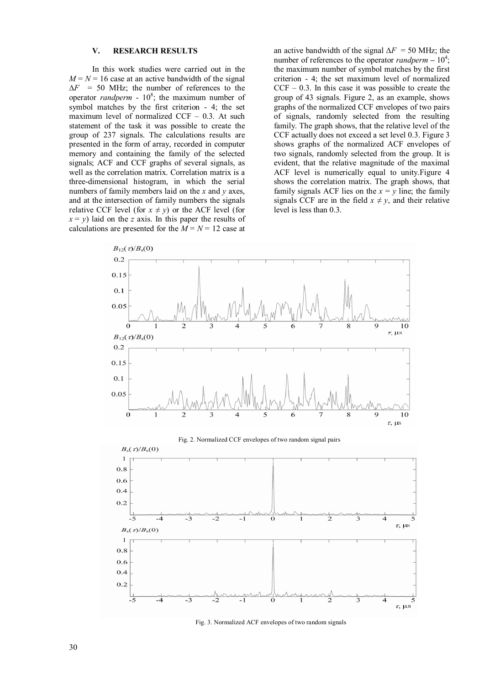### **V. RESEARCH RESULTS**

In this work studies were carried out in the  $M = N = 16$  case at an active bandwidth of the signal ∆*F* = 50 MHz; the number of references to the operator *randperm* -  $10^8$ ; the maximum number of symbol matches by the first criterion - 4; the set maximum level of normalized CCF – 0.3. At such statement of the task it was possible to create the group of 237 signals. The calculations results are presented in the form of array, recorded in computer memory and containing the family of the selected signals; ACF and CCF graphs of several signals, as well as the correlation matrix. Correlation matrix is a three-dimensional histogram, in which the serial numbers of family members laid on the *x* and *y* axes, and at the intersection of family numbers the signals relative CCF level (for  $x \neq y$ ) or the ACF level (for  $x = y$ ) laid on the *z* axis. In this paper the results of calculations are presented for the  $M = N = 12$  case at

an active bandwidth of the signal ∆*F* = 50 MHz; the number of references to the operator *randperm*  $-10^4$ ; the maximum number of symbol matches by the first criterion - 4; the set maximum level of normalized  $CCF - 0.3$ . In this case it was possible to create the group of 43 signals. Figure 2, as an example, shows graphs of the normalized CCF envelopes of two pairs of signals, randomly selected from the resulting family. The graph shows, that the relative level of the CCF actually does not exceed a set level 0.3. Figure 3 shows graphs of the normalized ACF envelopes of two signals, randomly selected from the group. It is evident, that the relative magnitude of the maximal ACF level is numerically equal to unity.Figure 4 shows the correlation matrix. The graph shows, that family signals ACF lies on the  $x = y$  line; the family signals CCF are in the field  $x \neq y$ , and their relative level is less than 0.3.



Fig. 3. Normalized ACF envelopes of two random signals

 $\overline{\epsilon}$ 

4

 $\tau$ ,  $\mu$ s

 $\overline{-5}$ 

 $\overline{\mathcal{A}}$